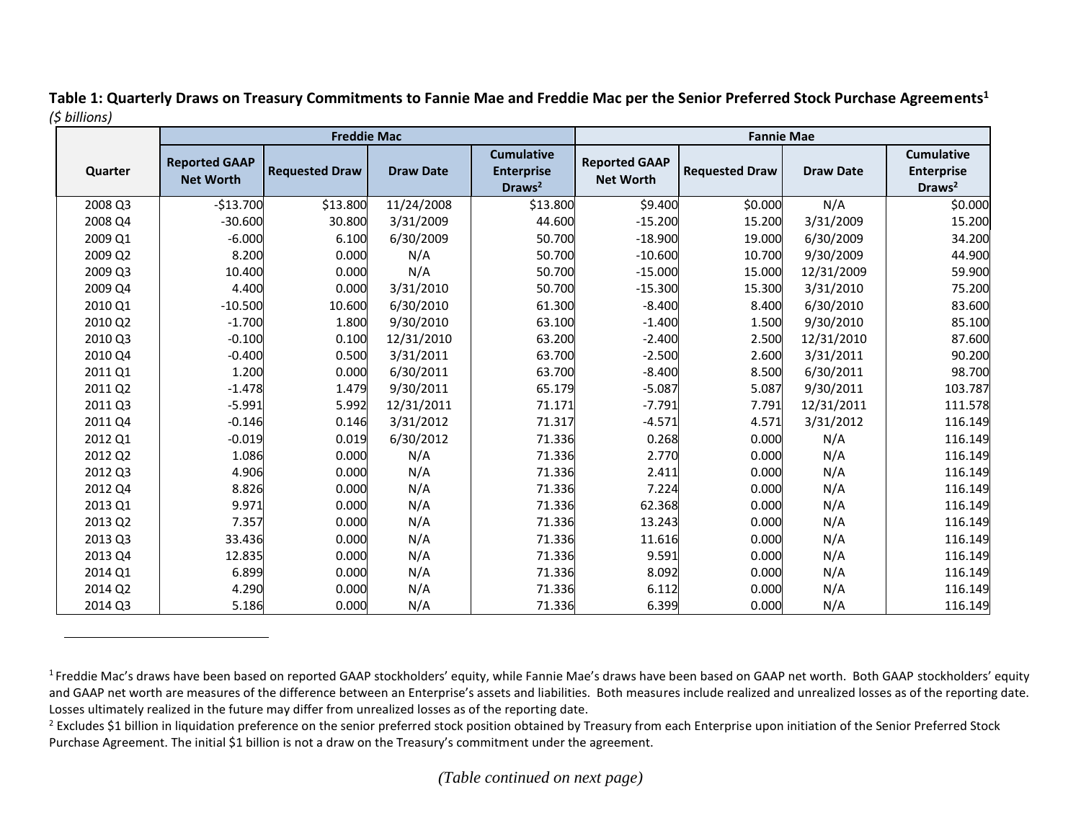|         |                                          | <b>Freddie Mac</b>    |                  |                                                              | <b>Fannie Mae</b>                        |                       |                  |                                                              |
|---------|------------------------------------------|-----------------------|------------------|--------------------------------------------------------------|------------------------------------------|-----------------------|------------------|--------------------------------------------------------------|
| Quarter | <b>Reported GAAP</b><br><b>Net Worth</b> | <b>Requested Draw</b> | <b>Draw Date</b> | <b>Cumulative</b><br><b>Enterprise</b><br>Draws <sup>2</sup> | <b>Reported GAAP</b><br><b>Net Worth</b> | <b>Requested Draw</b> | <b>Draw Date</b> | <b>Cumulative</b><br><b>Enterprise</b><br>Draws <sup>2</sup> |
| 2008 Q3 | $-$13.700$                               | \$13.800              | 11/24/2008       | \$13.800                                                     | \$9.400                                  | \$0.000               | N/A              | \$0.000                                                      |
| 2008 Q4 | $-30.600$                                | 30.800                | 3/31/2009        | 44.600                                                       | $-15.200$                                | 15.200                | 3/31/2009        | 15.200                                                       |
| 2009 Q1 | $-6.000$                                 | 6.100                 | 6/30/2009        | 50.700                                                       | $-18.900$                                | 19.000                | 6/30/2009        | 34.200                                                       |
| 2009 Q2 | 8.200                                    | 0.000                 | N/A              | 50.700                                                       | $-10.600$                                | 10.700                | 9/30/2009        | 44.900                                                       |
| 2009 Q3 | 10.400                                   | 0.000                 | N/A              | 50.700                                                       | $-15.000$                                | 15.000                | 12/31/2009       | 59.900                                                       |
| 2009 Q4 | 4.400                                    | 0.000                 | 3/31/2010        | 50.700                                                       | $-15.300$                                | 15.300                | 3/31/2010        | 75.200                                                       |
| 2010 Q1 | $-10.500$                                | 10.600                | 6/30/2010        | 61.300                                                       | $-8.400$                                 | 8.400                 | 6/30/2010        | 83.600                                                       |
| 2010 Q2 | $-1.700$                                 | 1.800                 | 9/30/2010        | 63.100                                                       | $-1.400$                                 | 1.500                 | 9/30/2010        | 85.100                                                       |
| 2010 Q3 | $-0.100$                                 | 0.100                 | 12/31/2010       | 63.200                                                       | $-2.400$                                 | 2.500                 | 12/31/2010       | 87.600                                                       |
| 2010 Q4 | $-0.400$                                 | 0.500                 | 3/31/2011        | 63.700                                                       | $-2.500$                                 | 2.600                 | 3/31/2011        | 90.200                                                       |
| 2011 Q1 | 1.200                                    | 0.000                 | 6/30/2011        | 63.700                                                       | $-8.400$                                 | 8.500                 | 6/30/2011        | 98.700                                                       |
| 2011 Q2 | $-1.478$                                 | 1.479                 | 9/30/2011        | 65.179                                                       | $-5.087$                                 | 5.087                 | 9/30/2011        | 103.787                                                      |
| 2011 Q3 | $-5.991$                                 | 5.992                 | 12/31/2011       | 71.171                                                       | $-7.791$                                 | 7.791                 | 12/31/2011       | 111.578                                                      |
| 2011 Q4 | $-0.146$                                 | 0.146                 | 3/31/2012        | 71.317                                                       | $-4.571$                                 | 4.571                 | 3/31/2012        | 116.149                                                      |
| 2012 Q1 | $-0.019$                                 | 0.019                 | 6/30/2012        | 71.336                                                       | 0.268                                    | 0.000                 | N/A              | 116.149                                                      |
| 2012 Q2 | 1.086                                    | 0.000                 | N/A              | 71.336                                                       | 2.770                                    | 0.000                 | N/A              | 116.149                                                      |
| 2012 Q3 | 4.906                                    | 0.000                 | N/A              | 71.336                                                       | 2.411                                    | 0.000                 | N/A              | 116.149                                                      |
| 2012 Q4 | 8.826                                    | 0.000                 | N/A              | 71.336                                                       | 7.224                                    | 0.000                 | N/A              | 116.149                                                      |
| 2013 Q1 | 9.971                                    | 0.000                 | N/A              | 71.336                                                       | 62.368                                   | 0.000                 | N/A              | 116.149                                                      |
| 2013 Q2 | 7.357                                    | 0.000                 | N/A              | 71.336                                                       | 13.243                                   | 0.000                 | N/A              | 116.149                                                      |
| 2013 Q3 | 33.436                                   | 0.000                 | N/A              | 71.336                                                       | 11.616                                   | 0.000                 | N/A              | 116.149                                                      |
| 2013 Q4 | 12.835                                   | 0.000                 | N/A              | 71.336                                                       | 9.591                                    | 0.000                 | N/A              | 116.149                                                      |
| 2014 Q1 | 6.899                                    | 0.000                 | N/A              | 71.336                                                       | 8.092                                    | 0.000                 | N/A              | 116.149                                                      |
| 2014 Q2 | 4.290                                    | 0.000                 | N/A              | 71.336                                                       | 6.112                                    | 0.000                 | N/A              | 116.149                                                      |
| 2014 Q3 | 5.186                                    | 0.000                 | N/A              | 71.336                                                       | 6.399                                    | 0.000                 | N/A              | 116.149                                                      |

**Table 1: Quarterly Draws on Treasury Commitments to Fannie Mae and Freddie Mac per the Senior Preferred Stock Purchase Agreements<sup>1</sup>** *(\$ billions)*

<sup>&</sup>lt;sup>1</sup> Freddie Mac's draws have been based on reported GAAP stockholders' equity, while Fannie Mae's draws have been based on GAAP net worth. Both GAAP stockholders' equity and GAAP net worth are measures of the difference between an Enterprise's assets and liabilities. Both measures include realized and unrealized losses as of the reporting date. Losses ultimately realized in the future may differ from unrealized losses as of the reporting date.

<sup>&</sup>lt;sup>2</sup> Excludes \$1 billion in liquidation preference on the senior preferred stock position obtained by Treasury from each Enterprise upon initiation of the Senior Preferred Stock Purchase Agreement. The initial \$1 billion is not a draw on the Treasury's commitment under the agreement.